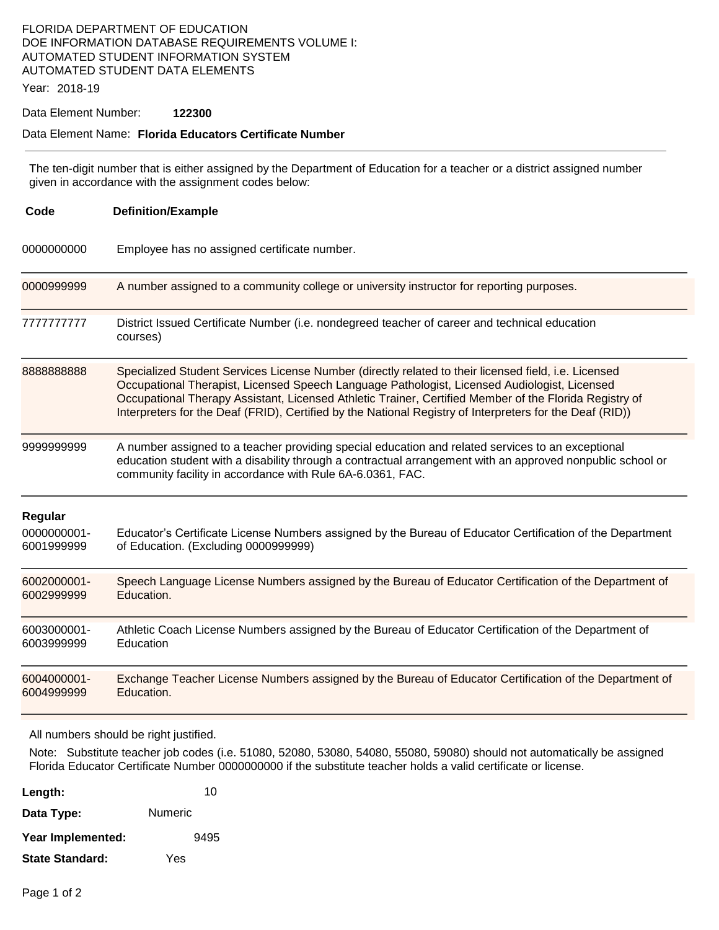#### FLORIDA DEPARTMENT OF EDUCATION DOE INFORMATION DATABASE REQUIREMENTS VOLUME I: AUTOMATED STUDENT INFORMATION SYSTEM AUTOMATED STUDENT DATA ELEMENTS

Year: 2018-19

#### Data Element Number: **122300**

#### Data Element Name: **Florida Educators Certificate Number**

 The ten-digit number that is either assigned by the Department of Education for a teacher or a district assigned number given in accordance with the assignment codes below:

| Code                                 | <b>Definition/Example</b>                                                                                                                                                                                                                                                                                                                                                                                                  |  |
|--------------------------------------|----------------------------------------------------------------------------------------------------------------------------------------------------------------------------------------------------------------------------------------------------------------------------------------------------------------------------------------------------------------------------------------------------------------------------|--|
| 0000000000                           | Employee has no assigned certificate number.                                                                                                                                                                                                                                                                                                                                                                               |  |
| 0000999999                           | A number assigned to a community college or university instructor for reporting purposes.                                                                                                                                                                                                                                                                                                                                  |  |
| 7777777777                           | District Issued Certificate Number (i.e. nondegreed teacher of career and technical education<br>courses)                                                                                                                                                                                                                                                                                                                  |  |
| 888888888                            | Specialized Student Services License Number (directly related to their licensed field, i.e. Licensed<br>Occupational Therapist, Licensed Speech Language Pathologist, Licensed Audiologist, Licensed<br>Occupational Therapy Assistant, Licensed Athletic Trainer, Certified Member of the Florida Registry of<br>Interpreters for the Deaf (FRID), Certified by the National Registry of Interpreters for the Deaf (RID)) |  |
| 9999999999                           | A number assigned to a teacher providing special education and related services to an exceptional<br>education student with a disability through a contractual arrangement with an approved nonpublic school or<br>community facility in accordance with Rule 6A-6.0361, FAC.                                                                                                                                              |  |
| Regular<br>0000000001-<br>6001999999 | Educator's Certificate License Numbers assigned by the Bureau of Educator Certification of the Department<br>of Education. (Excluding 0000999999)                                                                                                                                                                                                                                                                          |  |
| 6002000001-<br>6002999999            | Speech Language License Numbers assigned by the Bureau of Educator Certification of the Department of<br>Education.                                                                                                                                                                                                                                                                                                        |  |
| 6003000001-<br>6003999999            | Athletic Coach License Numbers assigned by the Bureau of Educator Certification of the Department of<br>Education                                                                                                                                                                                                                                                                                                          |  |
| 6004000001-<br>6004999999            | Exchange Teacher License Numbers assigned by the Bureau of Educator Certification of the Department of<br>Education.                                                                                                                                                                                                                                                                                                       |  |

All numbers should be right justified.

 Note: Substitute teacher job codes (i.e. 51080, 52080, 53080, 54080, 55080, 59080) should not automatically be assigned Florida Educator Certificate Number 0000000000 if the substitute teacher holds a valid certificate or license.

| Length:                | 10      |
|------------------------|---------|
| Data Type:             | Numeric |
| Year Implemented:      | 9495    |
| <b>State Standard:</b> | Yes     |